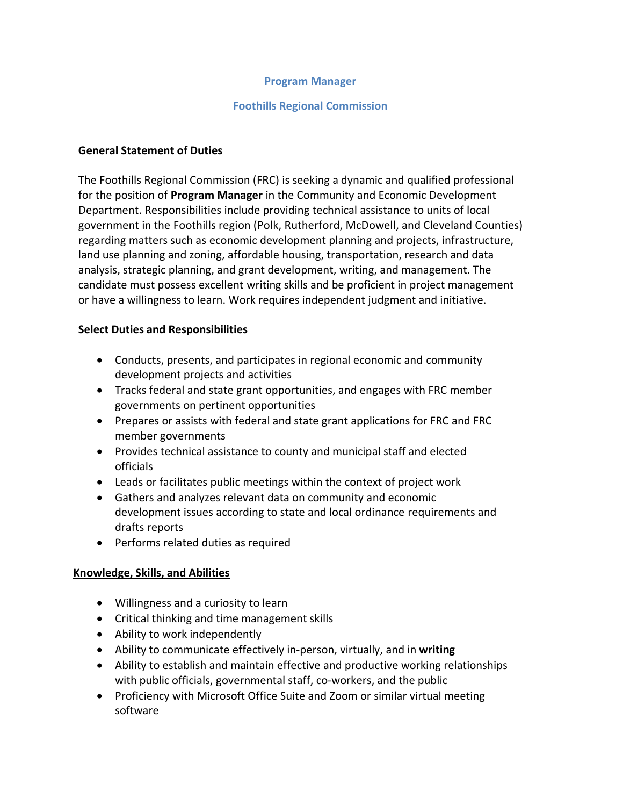#### **Program Manager**

#### **Foothills Regional Commission**

#### **General Statement of Duties**

The Foothills Regional Commission (FRC) is seeking a dynamic and qualified professional for the position of **Program Manager** in the Community and Economic Development Department. Responsibilities include providing technical assistance to units of local government in the Foothills region (Polk, Rutherford, McDowell, and Cleveland Counties) regarding matters such as economic development planning and projects, infrastructure, land use planning and zoning, affordable housing, transportation, research and data analysis, strategic planning, and grant development, writing, and management. The candidate must possess excellent writing skills and be proficient in project management or have a willingness to learn. Work requires independent judgment and initiative.

#### **Select Duties and Responsibilities**

- Conducts, presents, and participates in regional economic and community development projects and activities
- Tracks federal and state grant opportunities, and engages with FRC member governments on pertinent opportunities
- Prepares or assists with federal and state grant applications for FRC and FRC member governments
- Provides technical assistance to county and municipal staff and elected officials
- Leads or facilitates public meetings within the context of project work
- Gathers and analyzes relevant data on community and economic development issues according to state and local ordinance requirements and drafts reports
- Performs related duties as required

### **Knowledge, Skills, and Abilities**

- Willingness and a curiosity to learn
- Critical thinking and time management skills
- Ability to work independently
- Ability to communicate effectively in-person, virtually, and in **writing**
- Ability to establish and maintain effective and productive working relationships with public officials, governmental staff, co-workers, and the public
- Proficiency with Microsoft Office Suite and Zoom or similar virtual meeting software